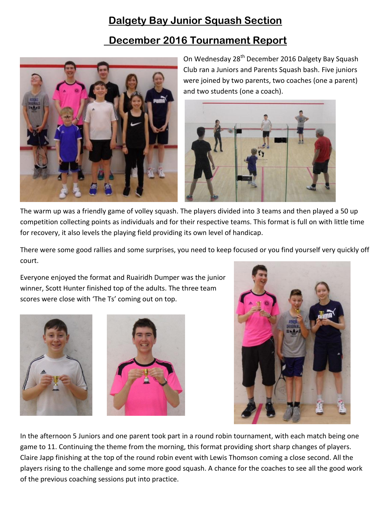## **Dalgety Bay Junior Squash Section**

## **December 2016 Tournament Report**



On Wednesday 28<sup>th</sup> December 2016 Dalgety Bay Squash Club ran a Juniors and Parents Squash bash. Five juniors were joined by two parents, two coaches (one a parent) and two students (one a coach).



The warm up was a friendly game of volley squash. The players divided into 3 teams and then played a 50 up competition collecting points as individuals and for their respective teams. This format is full on with little time for recovery, it also levels the playing field providing its own level of handicap.

There were some good rallies and some surprises, you need to keep focused or you find yourself very quickly off court.

Everyone enjoyed the format and Ruairidh Dumper was the junior winner, Scott Hunter finished top of the adults. The three team scores were close with 'The Ts' coming out on top.





In the afternoon 5 Juniors and one parent took part in a round robin tournament, with each match being one game to 11. Continuing the theme from the morning, this format providing short sharp changes of players. Claire Japp finishing at the top of the round robin event with Lewis Thomson coming a close second. All the players rising to the challenge and some more good squash. A chance for the coaches to see all the good work of the previous coaching sessions put into practice.